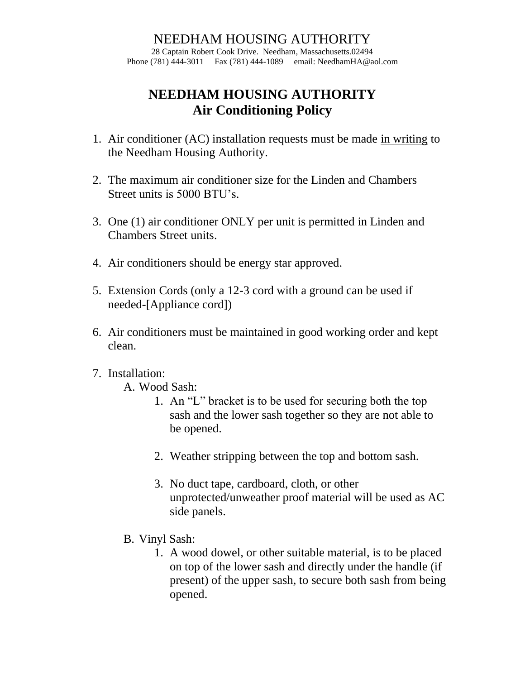## NEEDHAM HOUSING AUTHORITY

28 Captain Robert Cook Drive. Needham, Massachusetts.02494 Phone (781) 444-3011 Fax (781) 444-1089 email: NeedhamHA@aol.com

## **NEEDHAM HOUSING AUTHORITY Air Conditioning Policy**

- 1. Air conditioner (AC) installation requests must be made in writing to the Needham Housing Authority.
- 2. The maximum air conditioner size for the Linden and Chambers Street units is 5000 BTU's.
- 3. One (1) air conditioner ONLY per unit is permitted in Linden and Chambers Street units.
- 4. Air conditioners should be energy star approved.
- 5. Extension Cords (only a 12-3 cord with a ground can be used if needed-[Appliance cord])
- 6. Air conditioners must be maintained in good working order and kept clean.
- 7. Installation:

A. Wood Sash:

- 1. An "L" bracket is to be used for securing both the top sash and the lower sash together so they are not able to be opened.
- 2. Weather stripping between the top and bottom sash.
- 3. No duct tape, cardboard, cloth, or other unprotected/unweather proof material will be used as AC side panels.
- B. Vinyl Sash:
	- 1. A wood dowel, or other suitable material, is to be placed on top of the lower sash and directly under the handle (if present) of the upper sash, to secure both sash from being opened.